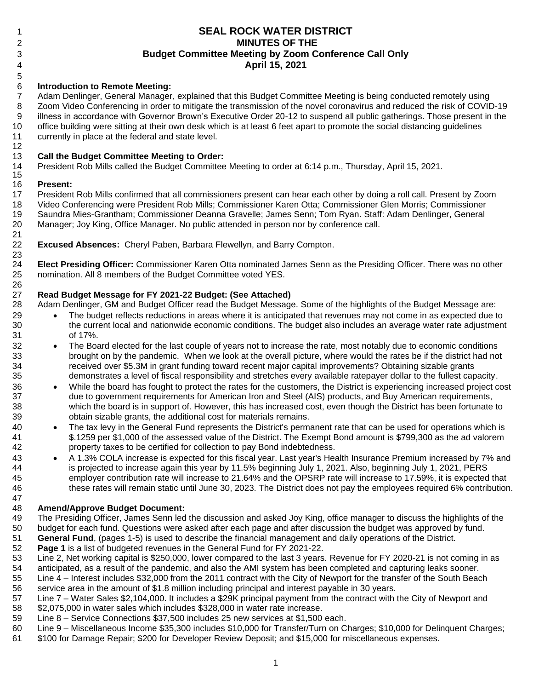# **SEAL ROCK WATER DISTRICT MINUTES OF THE Budget Committee Meeting by Zoom Conference Call Only April 15, 2021**

## **Introduction to Remote Meeting:**

 Adam Denlinger, General Manager, explained that this Budget Committee Meeting is being conducted remotely using Zoom Video Conferencing in order to mitigate the transmission of the novel coronavirus and reduced the risk of COVID-19 illness in accordance with Governor Brown's Executive Order 20-12 to suspend all public gatherings. Those present in the office building were sitting at their own desk which is at least 6 feet apart to promote the social distancing guidelines currently in place at the federal and state level.

### **Call the Budget Committee Meeting to Order:**

 President Rob Mills called the Budget Committee Meeting to order at 6:14 p.m., Thursday, April 15, 2021. 

#### **Present:**

 President Rob Mills confirmed that all commissioners present can hear each other by doing a roll call. Present by Zoom Video Conferencing were President Rob Mills; Commissioner Karen Otta; Commissioner Glen Morris; Commissioner Saundra Mies-Grantham; Commissioner Deanna Gravelle; James Senn; Tom Ryan. Staff: Adam Denlinger, General Manager; Joy King, Office Manager. No public attended in person nor by conference call.

 **Excused Absences:** Cheryl Paben, Barbara Flewellyn, and Barry Compton. 

 **Elect Presiding Officer:** Commissioner Karen Otta nominated James Senn as the Presiding Officer. There was no other nomination. All 8 members of the Budget Committee voted YES. 

### **Read Budget Message for FY 2021-22 Budget: (See Attached)**

Adam Denlinger, GM and Budget Officer read the Budget Message. Some of the highlights of the Budget Message are:

- 29 The budget reflects reductions in areas where it is anticipated that revenues may not come in as expected due to the current local and nationwide economic conditions. The budget also includes an average water rate adjustment of 17%.
- <sup>32</sup> The Board elected for the last couple of years not to increase the rate, most notably due to economic conditions brought on by the pandemic. When we look at the overall picture, where would the rates be if the district had not received over \$5.3M in grant funding toward recent major capital improvements? Obtaining sizable grants demonstrates a level of fiscal responsibility and stretches every available ratepayer dollar to the fullest capacity.
- While the board has fought to protect the rates for the customers, the District is experiencing increased project cost due to government requirements for American Iron and Steel (AIS) products, and Buy American requirements, which the board is in support of. However, this has increased cost, even though the District has been fortunate to obtain sizable grants, the additional cost for materials remains.
- <sup>40</sup> The tax levy in the General Fund represents the District's permanent rate that can be used for operations which is \$.1259 per \$1,000 of the assessed value of the District. The Exempt Bond amount is \$799,300 as the ad valorem property taxes to be certified for collection to pay Bond indebtedness.
- 43 A 1.3% COLA increase is expected for this fiscal year. Last year's Health Insurance Premium increased by 7% and is projected to increase again this year by 11.5% beginning July 1, 2021. Also, beginning July 1, 2021, PERS employer contribution rate will increase to 21.64% and the OPSRP rate will increase to 17.59%, it is expected that these rates will remain static until June 30, 2023. The District does not pay the employees required 6% contribution.

# **Amend/Approve Budget Document:**

- The Presiding Officer, James Senn led the discussion and asked Joy King, office manager to discuss the highlights of the budget for each fund. Questions were asked after each page and after discussion the budget was approved by fund.
- **General Fund**, (pages 1-5) is used to describe the financial management and daily operations of the District.
- **Page 1** is a list of budgeted revenues in the General Fund for FY 2021-22.
- Line 2, Net working capital is \$250,000, lower compared to the last 3 years. Revenue for FY 2020-21 is not coming in as
- anticipated, as a result of the pandemic, and also the AMI system has been completed and capturing leaks sooner. Line 4 – Interest includes \$32,000 from the 2011 contract with the City of Newport for the transfer of the South Beach
- service area in the amount of \$1.8 million including principal and interest payable in 30 years.
- Line 7 Water Sales \$2,104,000. It includes a \$29K principal payment from the contract with the City of Newport and \$2,075,000 in water sales which includes \$328,000 in water rate increase.
- Line 8 Service Connections \$37,500 includes 25 new services at \$1,500 each.
- Line 9 Miscellaneous Income \$35,300 includes \$10,000 for Transfer/Turn on Charges; \$10,000 for Delinquent Charges;
- \$100 for Damage Repair; \$200 for Developer Review Deposit; and \$15,000 for miscellaneous expenses.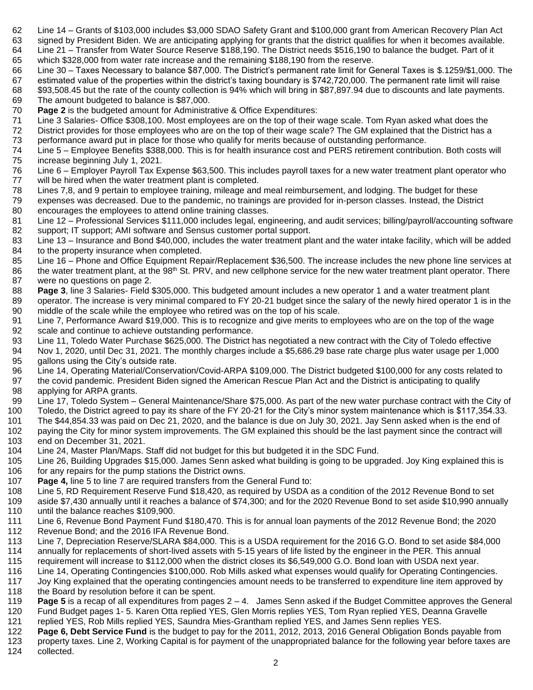- Line 14 Grants of \$103,000 includes \$3,000 SDAO Safety Grant and \$100,000 grant from American Recovery Plan Act
- signed by President Biden. We are anticipating applying for grants that the district qualifies for when it becomes available. Line 21 – Transfer from Water Source Reserve \$188,190. The District needs \$516,190 to balance the budget. Part of it which \$328,000 from water rate increase and the remaining \$188,190 from the reserve.
- Line 30 Taxes Necessary to balance \$87,000. The District's permanent rate limit for General Taxes is \$.1259/\$1,000. The
- estimated value of the properties within the district's taxing boundary is \$742,720,000. The permanent rate limit will raise \$93,508.45 but the rate of the county collection is 94% which will bring in \$87,897.94 due to discounts and late payments. The amount budgeted to balance is \$87,000.
- **Page 2** is the budgeted amount for Administrative & Office Expenditures:
- Line 3 Salaries- Office \$308,100. Most employees are on the top of their wage scale. Tom Ryan asked what does the District provides for those employees who are on the top of their wage scale? The GM explained that the District has a
- performance award put in place for those who qualify for merits because of outstanding performance.
- Line 5 Employee Benefits \$388,000. This is for health insurance cost and PERS retirement contribution. Both costs will increase beginning July 1, 2021.
- Line 6 Employer Payroll Tax Expense \$63,500. This includes payroll taxes for a new water treatment plant operator who will be hired when the water treatment plant is completed.
- Lines 7,8, and 9 pertain to employee training, mileage and meal reimbursement, and lodging. The budget for these
- expenses was decreased. Due to the pandemic, no trainings are provided for in-person classes. Instead, the District encourages the employees to attend online training classes.
- Line 12 Professional Services \$111,000 includes legal, engineering, and audit services; billing/payroll/accounting software support; IT support; AMI software and Sensus customer portal support.
- Line 13 Insurance and Bond \$40,000, includes the water treatment plant and the water intake facility, which will be added to the property insurance when completed.
- Line 16 Phone and Office Equipment Repair/Replacement \$36,500. The increase includes the new phone line services at 86 the water treatment plant, at the  $98<sup>th</sup>$  St. PRV, and new cellphone service for the new water treatment plant operator. There were no questions on page 2.
- **Page 3**, line 3 Salaries- Field \$305,000. This budgeted amount includes a new operator 1 and a water treatment plant
- operator. The increase is very minimal compared to FY 20-21 budget since the salary of the newly hired operator 1 is in the middle of the scale while the employee who retired was on the top of his scale.
- Line 7, Performance Award \$19,000. This is to recognize and give merits to employees who are on the top of the wage scale and continue to achieve outstanding performance.
- Line 11, Toledo Water Purchase \$625,000. The District has negotiated a new contract with the City of Toledo effective
- Nov 1, 2020, until Dec 31, 2021. The monthly charges include a \$5,686.29 base rate charge plus water usage per 1,000 95 gallons using the City's outside rate.
- Line 14, Operating Material/Conservation/Covid-ARPA \$109,000. The District budgeted \$100,000 for any costs related to
- the covid pandemic. President Biden signed the American Rescue Plan Act and the District is anticipating to qualify applying for ARPA grants.
- Line 17, Toledo System General Maintenance/Share \$75,000. As part of the new water purchase contract with the City of
- Toledo, the District agreed to pay its share of the FY 20-21 for the City's minor system maintenance which is \$117,354.33.
- The \$44,854.33 was paid on Dec 21, 2020, and the balance is due on July 30, 2021. Jay Senn asked when is the end of
- paying the City for minor system improvements. The GM explained this should be the last payment since the contract will end on December 31, 2021.
- Line 24, Master Plan/Maps. Staff did not budget for this but budgeted it in the SDC Fund.
- Line 26, Building Upgrades \$15,000. James Senn asked what building is going to be upgraded. Joy King explained this is
- 106 for any repairs for the pump stations the District owns.
- **Page 4,** line 5 to line 7 are required transfers from the General Fund to:
- Line 5, RD Requirement Reserve Fund \$18,420, as required by USDA as a condition of the 2012 Revenue Bond to set
- aside \$7,430 annually until it reaches a balance of \$74,300; and for the 2020 Revenue Bond to set aside \$10,990 annually until the balance reaches \$109,900.
- Line 6, Revenue Bond Payment Fund \$180,470. This is for annual loan payments of the 2012 Revenue Bond; the 2020 Revenue Bond; and the 2016 IFA Revenue Bond.
- Line 7, Depreciation Reserve/SLARA \$84,000. This is a USDA requirement for the 2016 G.O. Bond to set aside \$84,000 annually for replacements of short-lived assets with 5-15 years of life listed by the engineer in the PER. This annual
- requirement will increase to \$112,000 when the district closes its \$6,549,000 G.O. Bond loan with USDA next year.
- Line 14, Operating Contingencies \$100,000. Rob Mills asked what expenses would qualify for Operating Contingencies.
- Joy King explained that the operating contingencies amount needs to be transferred to expenditure line item approved by
- 118 the Board by resolution before it can be spent.
- **Page 5** is a recap of all expenditures from pages 2 4. James Senn asked if the Budget Committee approves the General Fund Budget pages 1- 5. Karen Otta replied YES, Glen Morris replies YES, Tom Ryan replied YES, Deanna Gravelle
- replied YES, Rob Mills replied YES, Saundra Mies-Grantham replied YES, and James Senn replies YES.
- **Page 6, Debt Service Fund** is the budget to pay for the 2011, 2012, 2013, 2016 General Obligation Bonds payable from property taxes. Line 2, Working Capital is for payment of the unappropriated balance for the following year before taxes are
- collected.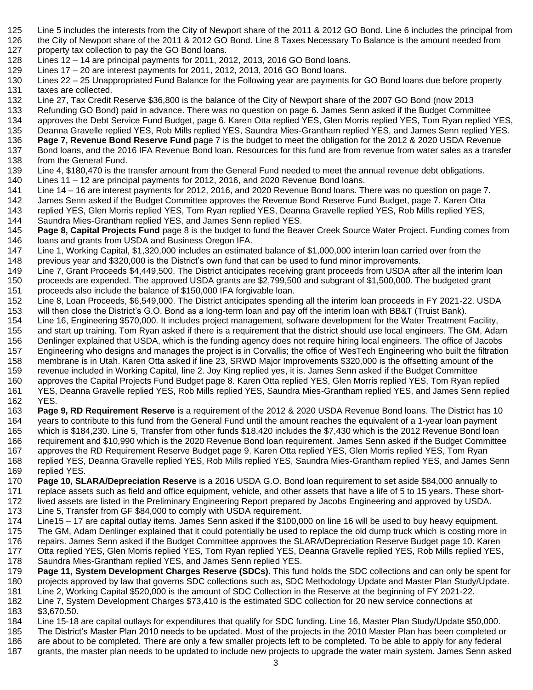- Line 5 includes the interests from the City of Newport share of the 2011 & 2012 GO Bond. Line 6 includes the principal from
- the City of Newport share of the 2011 & 2012 GO Bond. Line 8 Taxes Necessary To Balance is the amount needed from 127 property tax collection to pay the GO Bond loans.
- Lines 12 14 are principal payments for 2011, 2012, 2013, 2016 GO Bond loans.
- Lines 17 20 are interest payments for 2011, 2012, 2013, 2016 GO Bond loans.
- Lines 22 25 Unappropriated Fund Balance for the Following year are payments for GO Bond loans due before property taxes are collected.
- Line 27, Tax Credit Reserve \$36,800 is the balance of the City of Newport share of the 2007 GO Bond (now 2013
- Refunding GO Bond) paid in advance. There was no question on page 6. James Senn asked if the Budget Committee
- approves the Debt Service Fund Budget, page 6. Karen Otta replied YES, Glen Morris replied YES, Tom Ryan replied YES,
- Deanna Gravelle replied YES, Rob Mills replied YES, Saundra Mies-Grantham replied YES, and James Senn replied YES.
- **Page 7, Revenue Bond Reserve Fund** page 7 is the budget to meet the obligation for the 2012 & 2020 USDA Revenue Bond loans, and the 2016 IFA Revenue Bond loan. Resources for this fund are from revenue from water sales as a transfer
- from the General Fund.
- Line 4, \$180,470 is the transfer amount from the General Fund needed to meet the annual revenue debt obligations.
- Lines 11 12 are principal payments for 2012, 2016, and 2020 Revenue Bond loans.
- Line 14 16 are interest payments for 2012, 2016, and 2020 Revenue Bond loans. There was no question on page 7.
- James Senn asked if the Budget Committee approves the Revenue Bond Reserve Fund Budget, page 7. Karen Otta
- replied YES, Glen Morris replied YES, Tom Ryan replied YES, Deanna Gravelle replied YES, Rob Mills replied YES, Saundra Mies-Grantham replied YES, and James Senn replied YES.
- **Page 8, Capital Projects Fund** page 8 is the budget to fund the Beaver Creek Source Water Project. Funding comes from 146 loans and grants from USDA and Business Oregon IFA.
- Line 1, Working Capital, \$1,320,000 includes an estimated balance of \$1,000,000 interim loan carried over from the previous year and \$320,000 is the District's own fund that can be used to fund minor improvements.
- Line 7, Grant Proceeds \$4,449,500. The District anticipates receiving grant proceeds from USDA after all the interim loan proceeds are expended. The approved USDA grants are \$2,799,500 and subgrant of \$1,500,000. The budgeted grant proceeds also include the balance of \$150,000 IFA forgivable loan.
- Line 8, Loan Proceeds, \$6,549,000. The District anticipates spending all the interim loan proceeds in FY 2021-22. USDA will then close the District's G.O. Bond as a long-term loan and pay off the interim loan with BB&T (Truist Bank).
- Line 16, Engineering \$570,000. It includes project management, software development for the Water Treatment Facility,
- and start up training. Tom Ryan asked if there is a requirement that the district should use local engineers. The GM, Adam
- Denlinger explained that USDA, which is the funding agency does not require hiring local engineers. The office of Jacobs
- Engineering who designs and manages the project is in Corvallis; the office of WesTech Engineering who built the filtration
- membrane is in Utah. Karen Otta asked if line 23, SRWD Major Improvements \$320,000 is the offsetting amount of the
- revenue included in Working Capital, line 2. Joy King replied yes, it is. James Senn asked if the Budget Committee
- approves the Capital Projects Fund Budget page 8. Karen Otta replied YES, Glen Morris replied YES, Tom Ryan replied YES, Deanna Gravelle replied YES, Rob Mills replied YES, Saundra Mies-Grantham replied YES, and James Senn replied YES.
- **Page 9, RD Requirement Reserve** is a requirement of the 2012 & 2020 USDA Revenue Bond loans. The District has 10 years to contribute to this fund from the General Fund until the amount reaches the equivalent of a 1-year loan payment which is \$184,230. Line 5, Transfer from other funds \$18,420 includes the \$7,430 which is the 2012 Revenue Bond loan requirement and \$10,990 which is the 2020 Revenue Bond loan requirement. James Senn asked if the Budget Committee
- approves the RD Requirement Reserve Budget page 9. Karen Otta replied YES, Glen Morris replied YES, Tom Ryan replied YES, Deanna Gravelle replied YES, Rob Mills replied YES, Saundra Mies-Grantham replied YES, and James Senn replied YES.
- **Page 10, SLARA/Depreciation Reserve** is a 2016 USDA G.O. Bond loan requirement to set aside \$84,000 annually to replace assets such as field and office equipment, vehicle, and other assets that have a life of 5 to 15 years. These short-lived assets are listed in the Preliminary Engineering Report prepared by Jacobs Engineering and approved by USDA.
- Line 5, Transfer from GF \$84,000 to comply with USDA requirement.
- Line15 17 are capital outlay items. James Senn asked if the \$100,000 on line 16 will be used to buy heavy equipment. The GM, Adam Denlinger explained that it could potentially be used to replace the old dump truck which is costing more in
- repairs. James Senn asked if the Budget Committee approves the SLARA/Depreciation Reserve Budget page 10. Karen Otta replied YES, Glen Morris replied YES, Tom Ryan replied YES, Deanna Gravelle replied YES, Rob Mills replied YES,
- Saundra Mies-Grantham replied YES, and James Senn replied YES.
- **Page 11, System Development Charges Reserve (SDCs).** This fund holds the SDC collections and can only be spent for projects approved by law that governs SDC collections such as, SDC Methodology Update and Master Plan Study/Update.
- Line 2, Working Capital \$520,000 is the amount of SDC Collection in the Reserve at the beginning of FY 2021-22.
- Line 7, System Development Charges \$73,410 is the estimated SDC collection for 20 new service connections at
- \$3,670.50.
- Line 15-18 are capital outlays for expenditures that qualify for SDC funding. Line 16, Master Plan Study/Update \$50,000.
- The District's Master Plan 2010 needs to be updated. Most of the projects in the 2010 Master Plan has been completed or
- are about to be completed. There are only a few smaller projects left to be completed. To be able to apply for any federal grants, the master plan needs to be updated to include new projects to upgrade the water main system. James Senn asked